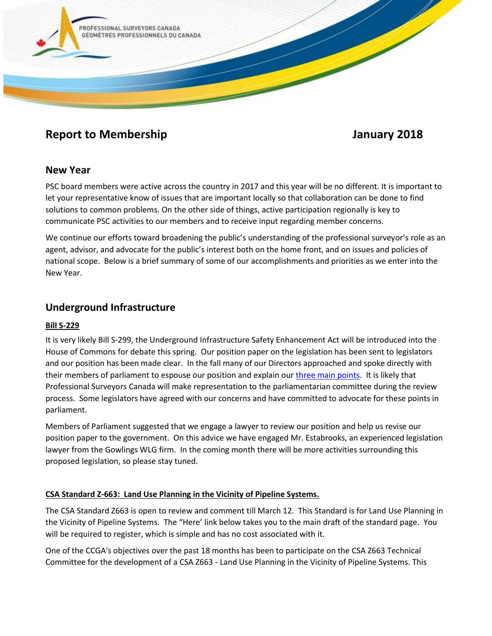

# **Report to Membership Service Service Service Service Service Service Service Service Service Service Service Service Service Service Service Service Service Service Service Service Service Service Service Service Service**

## **New Year**

PSC board members were active across the country in 2017 and this year will be no different. It is important to let your representative know of issues that are important locally so that collaboration can be done to find solutions to common problems. On the other side of things, active participation regionally is key to communicate PSC activities to our members and to receive input regarding member concerns.

We continue our efforts toward broadening the public's understanding of the professional surveyor's role as an agent, advisor, and advocate for the public's interest both on the home front, and on issues and policies of national scope. Below is a brief summary of some of our accomplishments and priorities as we enter into the New Year.

## **Underground Infrastructure**

### **Bill S-229**

It is very likely Bill S-299, the Underground Infrastructure Safety Enhancement Act will be introduced into the House of Commons for debate this spring. Our position paper on the legislation has been sent to legislators and our position has been made clear. In the fall many of our Directors approached and spoke directly with their members of parliament to espouse our position and explain our [three main points.](https://www.psc-gpc.ca/wp-content/uploads/2017/04/PSC-GPC-UISEA-S-229-Position-Paper-November-2016-Rev2.pdf) It is likely that Professional Surveyors Canada will make representation to the parliamentarian committee during the review process. Some legislators have agreed with our concerns and have committed to advocate for these points in parliament.

Members of Parliament suggested that we engage a lawyer to review our position and help us revise our position paper to the government. On this advice we have engaged Mr. Estabrooks, an experienced legislation lawyer from the Gowlings WLG firm. In the coming month there will be more activities surrounding this proposed legislation, so please stay tuned.

### **CSA Standard Z-663: Land Use Planning in the Vicinity of Pipeline Systems.**

The CSA Standard Z663 is open to review and comment till March 12. This Standard is for Land Use Planning in the Vicinity of Pipeline Systems. The "Here' link below takes you to the main draft of the standard page. You will be required to register, which is simple and has no cost associated with it.

One of the CCGA's objectives over the past 18 months has been to participate on the CSA Z663 Technical Committee for the development of a CSA Z663 - Land Use Planning in the Vicinity of Pipeline Systems. This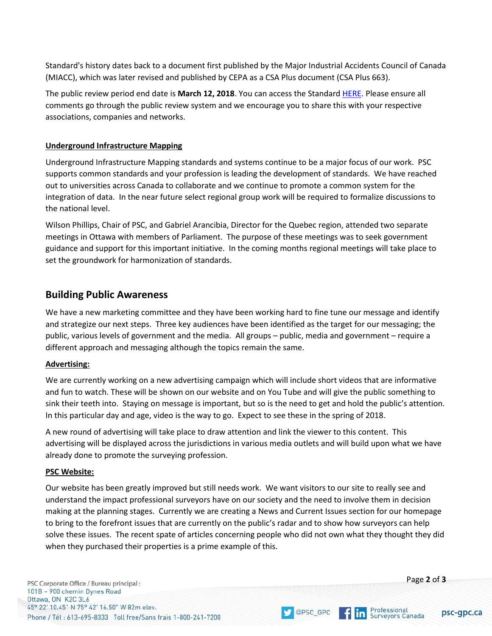Standard's history dates back to a document first published by the Major Industrial Accidents Council of Canada (MIACC), which was later revised and published by CEPA as a CSA Plus document (CSA Plus 663).

The public review period end date is **March 12, 2018**. You can access the Standard [HERE.](https://urldefense.proofpoint.com/v2/url?u=https-3A__publicreview.csa.ca_Home_Details_2822&d=DwMFaQ&c=4ZIZThykDLcoWk-GVjSLmy8-1Cr1I4FWIvbLFebwKgY&r=wlS9HnuYB42wj9sJk6UYrko7AwEDJqv0TZ7c12eh8LQo-YCwghgHRCalBlLPFxJr&m=PN7gK5HFXxdoohrLAbod3z5lyWy-kQJwKchJ6eWW9RI&s=rOsowjHbZZGJ4n7N9SHwK2s0pq8yq_dFXuVHiYnWg9w&e=) Please ensure all comments go through the public review system and we encourage you to share this with your respective associations, companies and networks.

#### **Underground Infrastructure Mapping**

Underground Infrastructure Mapping standards and systems continue to be a major focus of our work. PSC supports common standards and your profession is leading the development of standards. We have reached out to universities across Canada to collaborate and we continue to promote a common system for the integration of data. In the near future select regional group work will be required to formalize discussions to the national level.

Wilson Phillips, Chair of PSC, and Gabriel Arancibia, Director for the Quebec region, attended two separate meetings in Ottawa with members of Parliament. The purpose of these meetings was to seek government guidance and support for this important initiative. In the coming months regional meetings will take place to set the groundwork for harmonization of standards.

## **Building Public Awareness**

We have a new marketing committee and they have been working hard to fine tune our message and identify and strategize our next steps. Three key audiences have been identified as the target for our messaging; the public, various levels of government and the media. All groups – public, media and government – require a different approach and messaging although the topics remain the same.

### **Advertising:**

We are currently working on a new advertising campaign which will include short videos that are informative and fun to watch. These will be shown on our website and on You Tube and will give the public something to sink their teeth into. Staying on message is important, but so is the need to get and hold the public's attention. In this particular day and age, video is the way to go. Expect to see these in the spring of 2018.

A new round of advertising will take place to draw attention and link the viewer to this content. This advertising will be displayed across the jurisdictions in various media outlets and will build upon what we have already done to promote the surveying profession.

#### **PSC Website:**

Our website has been greatly improved but still needs work. We want visitors to our site to really see and understand the impact professional surveyors have on our society and the need to involve them in decision making at the planning stages. Currently we are creating a News and Current Issues section for our homepage to bring to the forefront issues that are currently on the public's radar and to show how surveyors can help solve these issues. The recent spate of articles concerning people who did not own what they thought they did when they purchased their properties is a prime example of this.



OPSC\_GPC

psc-gpc.ca